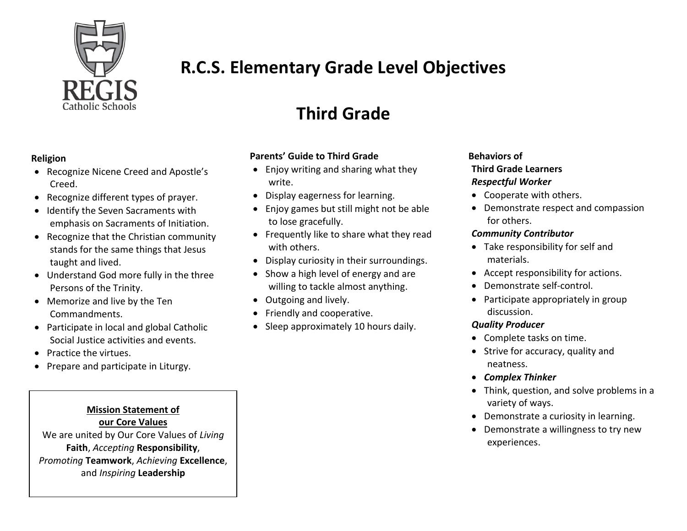

## **R.C.S. Elementary Grade Level Objectives**

# **Third Grade**

#### **Parents' Guide to Third Grade**

- Enjoy writing and sharing what they write.
- Display eagerness for learning.
- Enjoy games but still might not be able to lose gracefully.
- Frequently like to share what they read with others.
- Display curiosity in their surroundings.
- Show a high level of energy and are willing to tackle almost anything.
- Outgoing and lively.
- Friendly and cooperative.
- Sleep approximately 10 hours daily.

## **Behaviors of Third Grade Learners** *Respectful Worker*

- Cooperate with others.
- Demonstrate respect and compassion for others.

#### *Community Contributor*

- Take responsibility for self and materials.
- Accept responsibility for actions.
- Demonstrate self-control.
- Participate appropriately in group discussion.

## *Quality Producer*

- Complete tasks on time.
- Strive for accuracy, quality and neatness.
- *Complex Thinker*
- Think, question, and solve problems in a variety of ways.
- Demonstrate a curiosity in learning.
- Demonstrate a willingness to try new experiences.

### **Religion**

- Recognize Nicene Creed and Apostle's Creed.
- Recognize different types of prayer.
- Identify the Seven Sacraments with emphasis on Sacraments of Initiation.
- Recognize that the Christian community stands for the same things that Jesus taught and lived.
- Understand God more fully in the three Persons of the Trinity.
- Memorize and live by the Ten Commandments.
- Participate in local and global Catholic Social Justice activities and events.
- Practice the virtues.
- Prepare and participate in Liturgy.

## **Mission Statement of our Core Values**

We are united by Our Core Values of Living **Faith**, *Accepting* Responsibility, **Promoting Teamwork**, *Achieving* **Excellence**, and *Inspiring* Leadership community each day.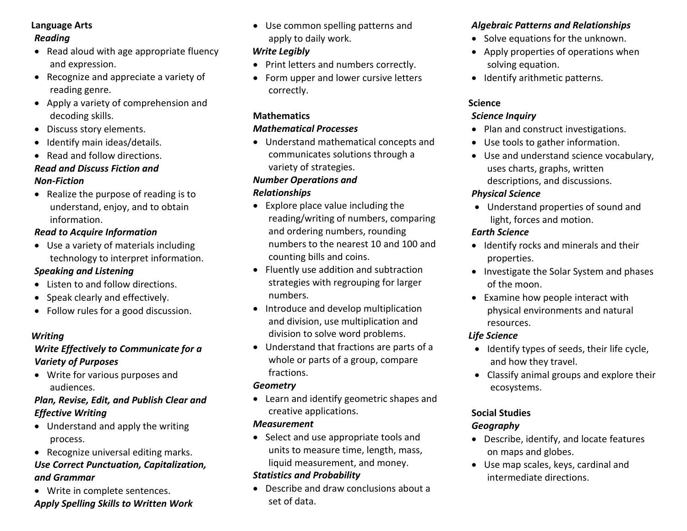#### **Language Arts**

#### *Reading*

- Read aloud with age appropriate fluency and expression.
- Recognize and appreciate a variety of reading genre.
- Apply a variety of comprehension and decoding skills.
- Discuss story elements.
- Identify main ideas/details.
- Read and follow directions.

#### *Read and Discuss Fiction and Non-Fiction*

#### • Realize the purpose of reading is to understand, enjoy, and to obtain information.

#### *Read to Acquire Information*

 Use a variety of materials including technology to interpret information.

### *Speaking and Listening*

- Listen to and follow directions.
- Speak clearly and effectively.
- Follow rules for a good discussion.

## *Writing*

## *Write Effectively to Communicate for a Variety of Purposes*

 Write for various purposes and audiences.

### *Plan, Revise, Edit, and Publish Clear and Effective Writing*

- Understand and apply the writing process.
- Recognize universal editing marks.

## *Use Correct Punctuation, Capitalization, and Grammar*

• Write in complete sentences.

## *Apply Spelling Skills to Written Work*

 Use common spelling patterns and apply to daily work.

## *Write Legibly*

- Print letters and numbers correctly.
- Form upper and lower cursive letters correctly.

## **Mathematics**

#### *Mathematical Processes*

 Understand mathematical concepts and communicates solutions through a variety of strategies.

### *Number Operations and*

### *Relationships*

- Explore place value including the reading/writing of numbers, comparing and ordering numbers, rounding numbers to the nearest 10 and 100 and counting bills and coins.
- Fluently use addition and subtraction strategies with regrouping for larger numbers.
- Introduce and develop multiplication and division, use multiplication and division to solve word problems.
- Understand that fractions are parts of a whole or parts of a group, compare fractions.

## *Geometry*

 Learn and identify geometric shapes and creative applications.

## *Measurement*

• Select and use appropriate tools and units to measure time, length, mass, liquid measurement, and money.

## *Statistics and Probability*

 Describe and draw conclusions about a set of data.

## *Algebraic Patterns and Relationships*

- Solve equations for the unknown.
- Apply properties of operations when solving equation.
- Identify arithmetic patterns.

### **Science**

### *Science Inquiry*

- Plan and construct investigations.
- Use tools to gather information.
- Use and understand science vocabulary, uses charts, graphs, written descriptions, and discussions.

## *Physical Science*

 Understand properties of sound and light, forces and motion.

#### *Earth Science*

- Identify rocks and minerals and their properties.
- Investigate the Solar System and phases of the moon.
- Examine how people interact with physical environments and natural resources.

## *Life Science*

- Identify types of seeds, their life cycle, and how they travel.
- Classify animal groups and explore their ecosystems.

## **Social Studies**

## *Geography*

- Describe, identify, and locate features on maps and globes.
- Use map scales, keys, cardinal and intermediate directions.